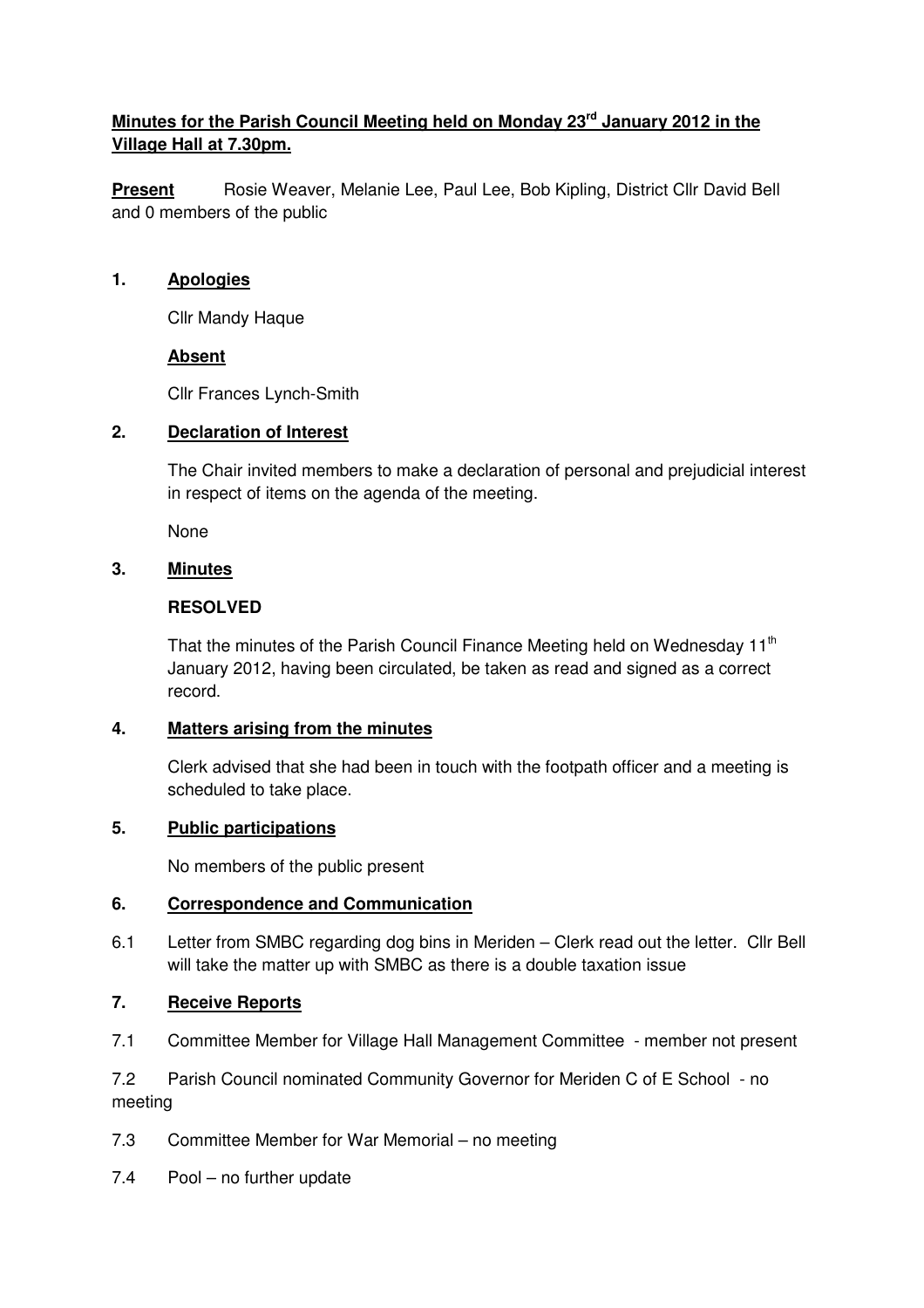# **Minutes for the Parish Council Meeting held on Monday 23rd January 2012 in the Village Hall at 7.30pm.**

**Present** Rosie Weaver, Melanie Lee, Paul Lee, Bob Kipling, District Cllr David Bell and 0 members of the public

#### **1. Apologies**

Cllr Mandy Haque

#### **Absent**

Cllr Frances Lynch-Smith

#### **2. Declaration of Interest**

The Chair invited members to make a declaration of personal and prejudicial interest in respect of items on the agenda of the meeting.

None

## **3. Minutes**

#### **RESOLVED**

That the minutes of the Parish Council Finance Meeting held on Wednesday 11<sup>th</sup> January 2012, having been circulated, be taken as read and signed as a correct record.

#### **4. Matters arising from the minutes**

 Clerk advised that she had been in touch with the footpath officer and a meeting is scheduled to take place.

## **5. Public participations**

No members of the public present

#### **6. Correspondence and Communication**

6.1 Letter from SMBC regarding dog bins in Meriden – Clerk read out the letter. Cllr Bell will take the matter up with SMBC as there is a double taxation issue

## **7. Receive Reports**

7.1 Committee Member for Village Hall Management Committee - member not present

7.2 Parish Council nominated Community Governor for Meriden C of E School - no meeting

- 7.3 Committee Member for War Memorial no meeting
- 7.4 Pool no further update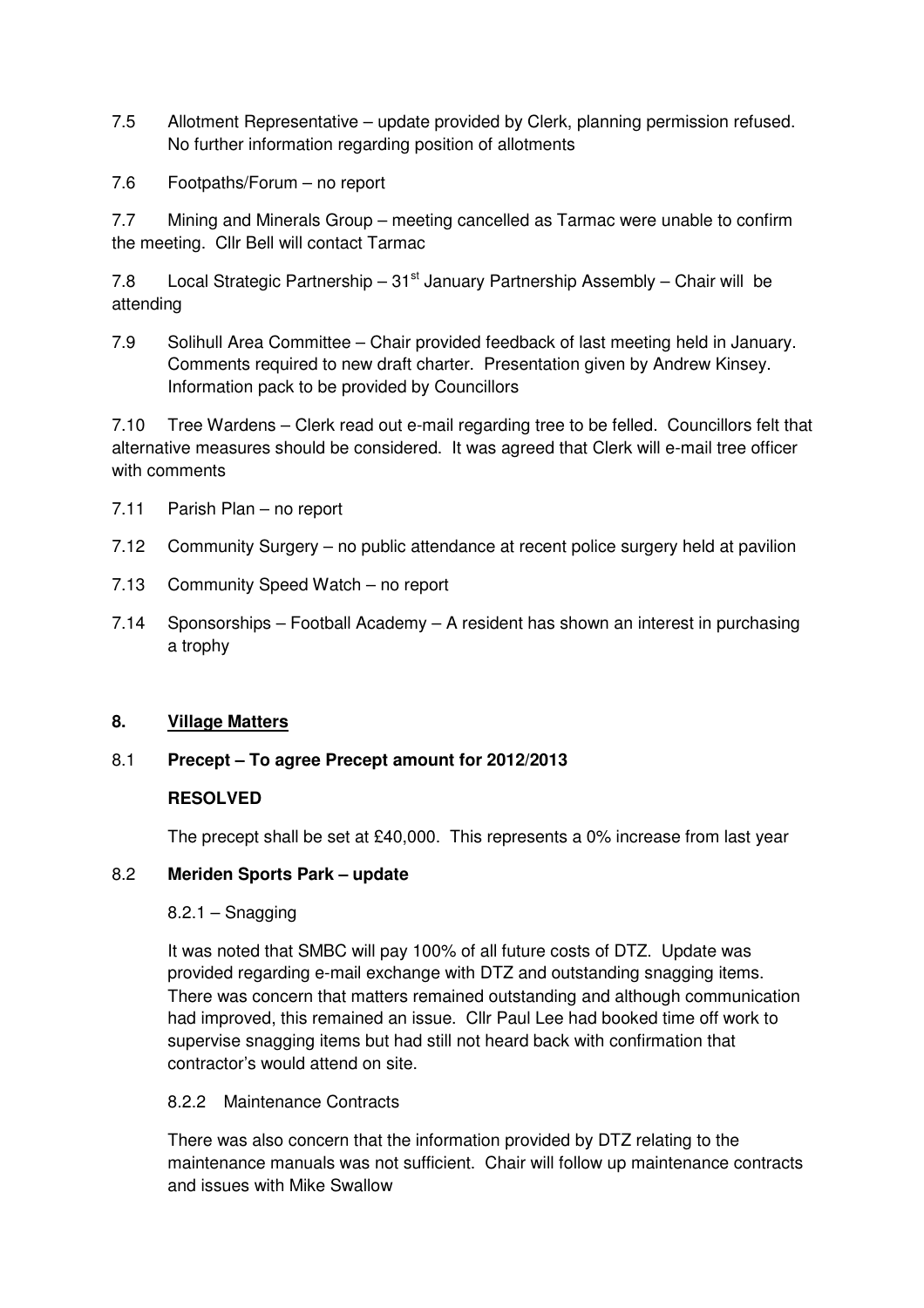- 7.5 Allotment Representative update provided by Clerk, planning permission refused. No further information regarding position of allotments
- 7.6 Footpaths/Forum no report

7.7 Mining and Minerals Group – meeting cancelled as Tarmac were unable to confirm the meeting. Cllr Bell will contact Tarmac

7.8 Local Strategic Partnership –  $31<sup>st</sup>$  January Partnership Assembly – Chair will be attending

7.9 Solihull Area Committee – Chair provided feedback of last meeting held in January. Comments required to new draft charter. Presentation given by Andrew Kinsey. Information pack to be provided by Councillors

7.10 Tree Wardens – Clerk read out e-mail regarding tree to be felled. Councillors felt that alternative measures should be considered. It was agreed that Clerk will e-mail tree officer with comments

- 7.11 Parish Plan no report
- 7.12 Community Surgery no public attendance at recent police surgery held at pavilion
- 7.13 Community Speed Watch no report
- 7.14 Sponsorships Football Academy A resident has shown an interest in purchasing a trophy

#### **8. Village Matters**

#### 8.1 **Precept – To agree Precept amount for 2012/2013**

#### **RESOLVED**

The precept shall be set at £40,000. This represents a 0% increase from last year

#### 8.2 **Meriden Sports Park – update**

#### $8.2.1 -$ Snagging

 It was noted that SMBC will pay 100% of all future costs of DTZ. Update was provided regarding e-mail exchange with DTZ and outstanding snagging items. There was concern that matters remained outstanding and although communication had improved, this remained an issue. Cllr Paul Lee had booked time off work to supervise snagging items but had still not heard back with confirmation that contractor's would attend on site.

#### 8.2.2 Maintenance Contracts

 There was also concern that the information provided by DTZ relating to the maintenance manuals was not sufficient. Chair will follow up maintenance contracts and issues with Mike Swallow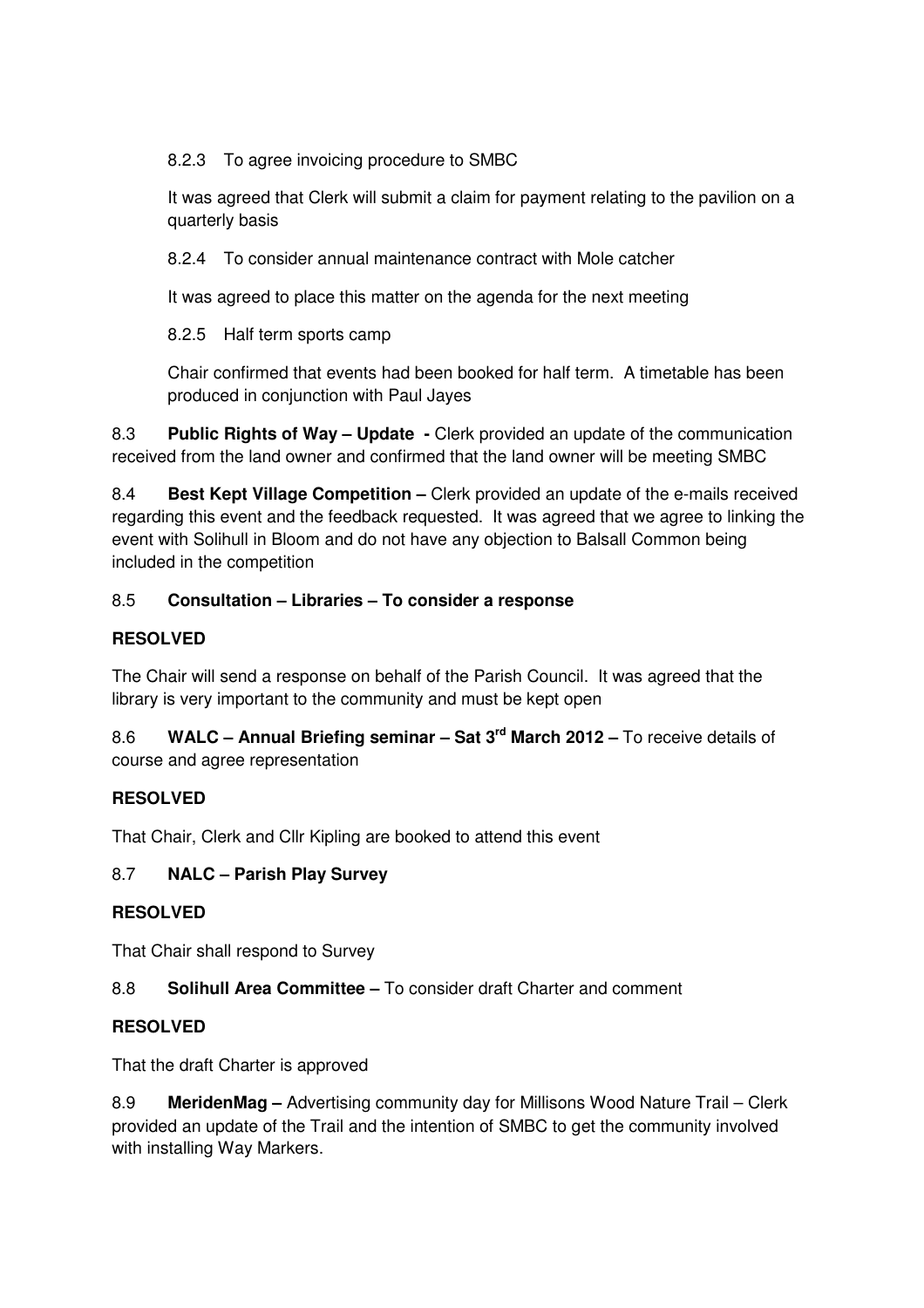8.2.3 To agree invoicing procedure to SMBC

 It was agreed that Clerk will submit a claim for payment relating to the pavilion on a quarterly basis

8.2.4 To consider annual maintenance contract with Mole catcher

It was agreed to place this matter on the agenda for the next meeting

8.2.5 Half term sports camp

 Chair confirmed that events had been booked for half term. A timetable has been produced in conjunction with Paul Jayes

8.3 **Public Rights of Way – Update -** Clerk provided an update of the communication received from the land owner and confirmed that the land owner will be meeting SMBC

8.4 **Best Kept Village Competition –** Clerk provided an update of the e-mails received regarding this event and the feedback requested. It was agreed that we agree to linking the event with Solihull in Bloom and do not have any objection to Balsall Common being included in the competition

## 8.5 **Consultation – Libraries – To consider a response**

## **RESOLVED**

The Chair will send a response on behalf of the Parish Council. It was agreed that the library is very important to the community and must be kept open

8.6 **WALC – Annual Briefing seminar – Sat 3rd March 2012 –** To receive details of course and agree representation

## **RESOLVED**

That Chair, Clerk and Cllr Kipling are booked to attend this event

## 8.7 **NALC – Parish Play Survey**

## **RESOLVED**

That Chair shall respond to Survey

## 8.8 **Solihull Area Committee –** To consider draft Charter and comment

## **RESOLVED**

That the draft Charter is approved

8.9 **MeridenMag –** Advertising community day for Millisons Wood Nature Trail – Clerk provided an update of the Trail and the intention of SMBC to get the community involved with installing Way Markers.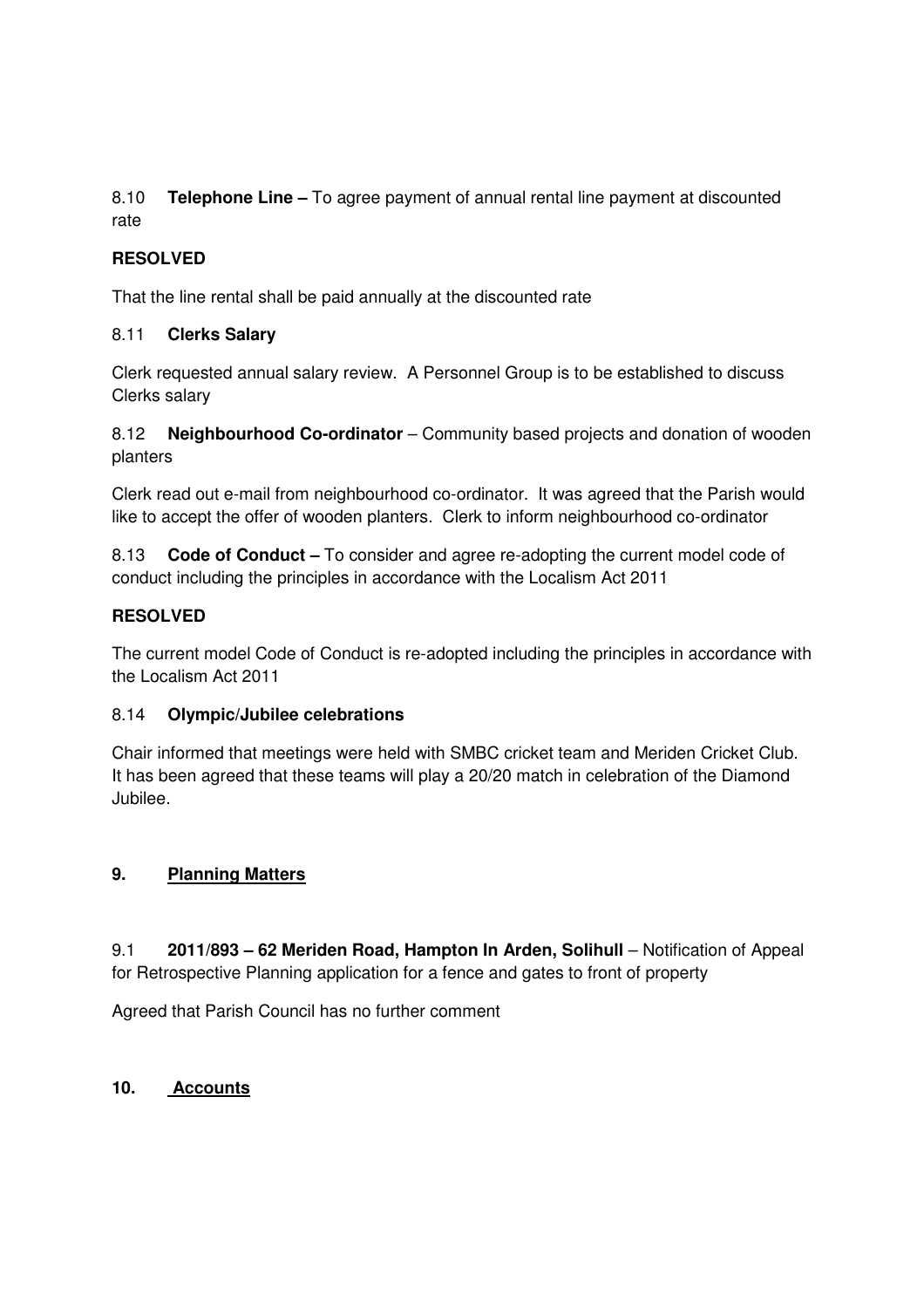8.10 **Telephone Line –** To agree payment of annual rental line payment at discounted rate

## **RESOLVED**

That the line rental shall be paid annually at the discounted rate

## 8.11 **Clerks Salary**

Clerk requested annual salary review. A Personnel Group is to be established to discuss Clerks salary

8.12 **Neighbourhood Co-ordinator** – Community based projects and donation of wooden planters

Clerk read out e-mail from neighbourhood co-ordinator. It was agreed that the Parish would like to accept the offer of wooden planters. Clerk to inform neighbourhood co-ordinator

8.13 **Code of Conduct –** To consider and agree re-adopting the current model code of conduct including the principles in accordance with the Localism Act 2011

## **RESOLVED**

The current model Code of Conduct is re-adopted including the principles in accordance with the Localism Act 2011

## 8.14 **Olympic/Jubilee celebrations**

Chair informed that meetings were held with SMBC cricket team and Meriden Cricket Club. It has been agreed that these teams will play a 20/20 match in celebration of the Diamond Jubilee.

## **9. Planning Matters**

9.1 **2011/893 – 62 Meriden Road, Hampton In Arden, Solihull** – Notification of Appeal for Retrospective Planning application for a fence and gates to front of property

Agreed that Parish Council has no further comment

## **10. Accounts**